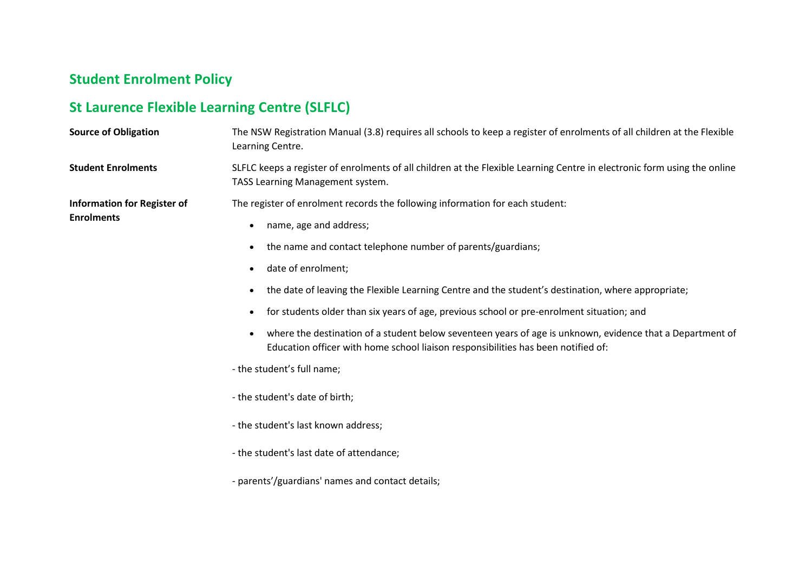## **Student Enrolment Policy**

## **St Laurence Flexible Learning Centre (SLFLC)**

| <b>Source of Obligation</b>                             | The NSW Registration Manual (3.8) requires all schools to keep a register of enrolments of all children at the Flexible<br>Learning Centre.                                                                 |
|---------------------------------------------------------|-------------------------------------------------------------------------------------------------------------------------------------------------------------------------------------------------------------|
| <b>Student Enrolments</b>                               | SLFLC keeps a register of enrolments of all children at the Flexible Learning Centre in electronic form using the online<br>TASS Learning Management system.                                                |
| <b>Information for Register of</b><br><b>Enrolments</b> | The register of enrolment records the following information for each student:<br>name, age and address;<br>$\bullet$                                                                                        |
|                                                         | the name and contact telephone number of parents/guardians;<br>$\bullet$<br>date of enrolment;                                                                                                              |
|                                                         | the date of leaving the Flexible Learning Centre and the student's destination, where appropriate;                                                                                                          |
|                                                         | for students older than six years of age, previous school or pre-enrolment situation; and                                                                                                                   |
|                                                         | where the destination of a student below seventeen years of age is unknown, evidence that a Department of<br>$\bullet$<br>Education officer with home school liaison responsibilities has been notified of: |
|                                                         | - the student's full name;                                                                                                                                                                                  |
|                                                         | - the student's date of birth;                                                                                                                                                                              |
|                                                         | - the student's last known address;                                                                                                                                                                         |
|                                                         | - the student's last date of attendance;                                                                                                                                                                    |
|                                                         | - parents'/guardians' names and contact details;                                                                                                                                                            |